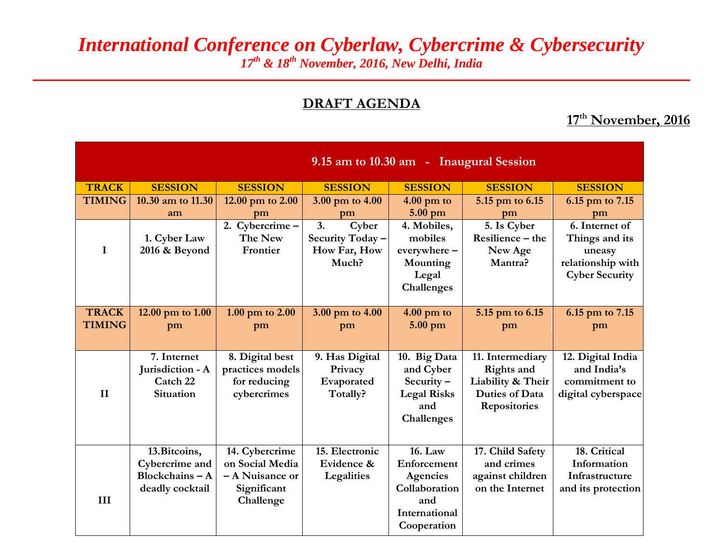# *International Conference on Cyberlaw, Cybercrime & Cybersecurity*

*17th & 18th November, 2016, New Delhi, India*

#### **DRAFT AGENDA**

**17th November, 2016**

| 9.15 am to 10.30 am - Inaugural Session |                                                                     |                                                                                  |                                                          |                                                                                            |                                                                                                     |                                                                                          |
|-----------------------------------------|---------------------------------------------------------------------|----------------------------------------------------------------------------------|----------------------------------------------------------|--------------------------------------------------------------------------------------------|-----------------------------------------------------------------------------------------------------|------------------------------------------------------------------------------------------|
| <b>TRACK</b>                            | <b>SESSION</b>                                                      | <b>SESSION</b>                                                                   | <b>SESSION</b>                                           | <b>SESSION</b>                                                                             | <b>SESSION</b>                                                                                      | <b>SESSION</b>                                                                           |
| <b>TIMING</b>                           | 10.30 am to 11.30                                                   | 12.00 pm to 2.00                                                                 | 3.00 pm to 4.00                                          | $4.00$ pm to                                                                               | 5.15 pm to 6.15                                                                                     | 6.15 pm to 7.15                                                                          |
|                                         | am                                                                  | pm                                                                               | pm                                                       | $5.00$ pm                                                                                  | pm                                                                                                  | pm                                                                                       |
| $\bf{I}$                                | 1. Cyber Law<br>2016 & Beyond                                       | 2. Cybercrime -<br>The New<br>Frontier                                           | 3.<br>Cyber<br>Security Today -<br>How Far, How<br>Much? | 4. Mobiles,<br>mobiles<br>everywhere-<br>Mounting<br>Legal<br>Challenges                   | 5. Is Cyber<br>Resilience – the<br>New Age<br>Mantra?                                               | 6. Internet of<br>Things and its<br>uneasy<br>relationship with<br><b>Cyber Security</b> |
| <b>TRACK</b><br><b>TIMING</b>           | 12.00 pm to 1.00<br>pm                                              | 1.00 pm to 2.00<br>pm                                                            | 3.00 pm to 4.00<br>pm                                    | $4.00$ pm to<br>$5.00$ pm                                                                  | 5.15 pm to 6.15<br>pm                                                                               | 6.15 pm to 7.15<br>pm                                                                    |
| $\mathbf{I}$                            | 7. Internet<br>Jurisdiction - A<br>Catch 22<br>Situation            | 8. Digital best<br>practices models<br>for reducing<br>cybercrimes               | 9. Has Digital<br>Privacy<br>Evaporated<br>Totally?      | 10. Big Data<br>and Cyber<br>Security $-$<br><b>Legal Risks</b><br>and<br>Challenges       | 11. Intermediary<br><b>Rights and</b><br>Liability & Their<br><b>Duties of Data</b><br>Repositories | 12. Digital India<br>and India's<br>commitment to<br>digital cyberspace                  |
| III                                     | 13. Bitcoins,<br>Cybercrime and<br>Blockchains-A<br>deadly cocktail | 14. Cybercrime<br>on Social Media<br>- A Nuisance or<br>Significant<br>Challenge | 15. Electronic<br>Evidence &<br>Legalities               | 16. Law<br>Enforcement<br>Agencies<br>Collaboration<br>and<br>International<br>Cooperation | 17. Child Safety<br>and crimes<br>against children<br>on the Internet                               | 18. Critical<br>Information<br>Infrastructure<br>and its protection                      |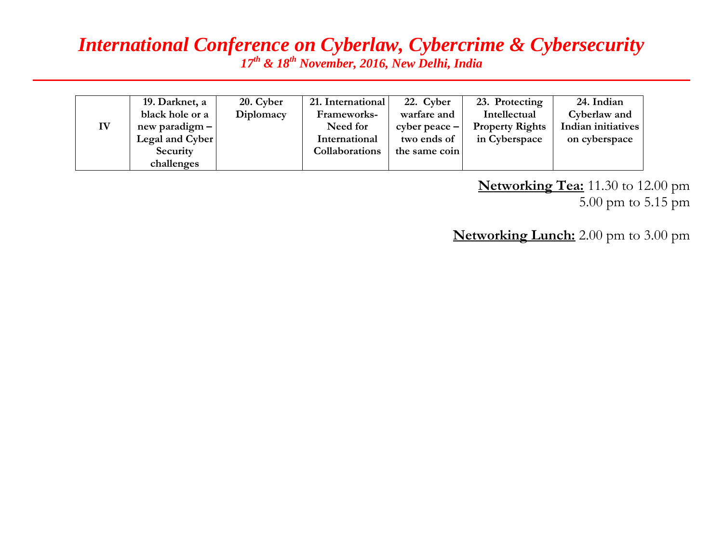## *International Conference on Cyberlaw, Cybercrime & Cybersecurity 17th & 18th November, 2016, New Delhi, India*

|    | 19. Darknet, a  | 20. Cyber | 21. International | 22. Cyber       | 23. Protecting         | 24. Indian         |
|----|-----------------|-----------|-------------------|-----------------|------------------------|--------------------|
|    | black hole or a | Diplomacy | Frameworks-       | warfare and     | Intellectual           | Cyberlaw and       |
| IV | new paradigm –  |           | Need for          | cyber peace $-$ | <b>Property Rights</b> | Indian initiatives |
|    | Legal and Cyber |           | International     | two ends of     | in Cyberspace          | on cyberspace      |
|    | Security        |           | Collaborations    | the same coin   |                        |                    |
|    | challenges      |           |                   |                 |                        |                    |

**Networking Tea:** 11.30 to 12.00 pm 5.00 pm to 5.15 pm

**Networking Lunch:** 2.00 pm to 3.00 pm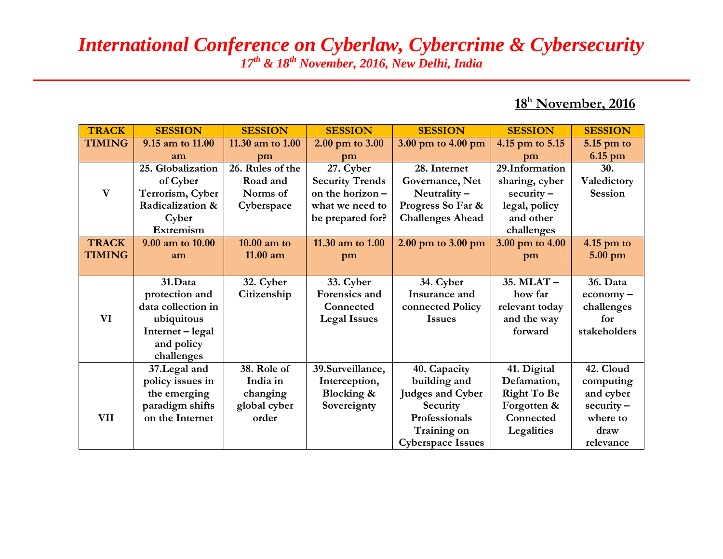### *International Conference on Cyberlaw, Cybercrime & Cybersecurity 17th & 18th November, 2016, New Delhi, India*

#### **18<sup>h</sup> November, 2016**

| <b>TRACK</b>  | <b>SESSION</b>     | <b>SESSION</b>   | <b>SESSION</b>         | <b>SESSION</b>           | <b>SESSION</b>     | <b>SESSION</b> |
|---------------|--------------------|------------------|------------------------|--------------------------|--------------------|----------------|
| <b>TIMING</b> | 9.15 am to 11.00   | 11.30 am to 1.00 | 2.00 pm to 3.00        | 3.00 pm to 4.00 pm       | 4.15 pm to 5.15    | $5.15$ pm to   |
|               | am                 | pm               | pm                     |                          | nm                 | $6.15$ pm      |
|               | 25. Globalization  | 26. Rules of the | 27. Cyber              | 28. Internet             | 29.Information     | 30.            |
|               | of Cyber           | Road and         | <b>Security Trends</b> | Governance, Net          | sharing, cyber     | Valedictory    |
| $\mathbf{V}$  | Terrorism, Cyber   | Norms of         | on the horizon -       | Neutrality $-$           | $security -$       | <b>Session</b> |
|               | Radicalization &   | Cyberspace       | what we need to        | Progress So Far &        | legal, policy      |                |
|               | Cyber              |                  | be prepared for?       | <b>Challenges Ahead</b>  | and other          |                |
|               | Extremism          |                  |                        |                          | challenges         |                |
| <b>TRACK</b>  | 9.00 am to 10.00   | $10.00$ am to    | 11.30 am to 1.00       | 2.00 pm to 3.00 pm       | 3.00 pm to 4.00    | $4.15$ pm to   |
| <b>TIMING</b> | am                 | 11.00 am         | pm                     |                          | pm                 | $5.00$ pm      |
|               |                    |                  |                        |                          |                    |                |
|               | 31.Data            | 32. Cyber        | 33. Cyber              | 34. Cyber                | 35. MLAT-          | 36. Data       |
|               | protection and     | Citizenship      | Forensics and          | Insurance and            | how far            | economy-       |
|               | data collection in |                  | Connected              | connected Policy         | relevant today     | challenges     |
| VI            | ubiquitous         |                  | <b>Legal Issues</b>    | <b>Issues</b>            | and the way        | for            |
|               | Internet - legal   |                  |                        |                          | forward            | stakeholders   |
|               | and policy         |                  |                        |                          |                    |                |
|               | challenges         |                  |                        |                          |                    |                |
|               | 37. Legal and      | 38. Role of      | 39.Surveillance,       | 40. Capacity             | 41. Digital        | 42. Cloud      |
|               | policy issues in   | India in         | Interception,          | building and             | Defamation,        | computing      |
|               | the emerging       | changing         | Blocking &             | <b>Judges and Cyber</b>  | <b>Right To Be</b> | and cyber      |
|               | paradigm shifts    | global cyber     | Sovereignty            | Security                 | Forgotten &        | $security -$   |
| VII           | on the Internet    | order            |                        | Professionals            | Connected          | where to       |
|               |                    |                  |                        | Training on              | Legalities         | draw           |
|               |                    |                  |                        | <b>Cyberspace Issues</b> |                    | relevance      |